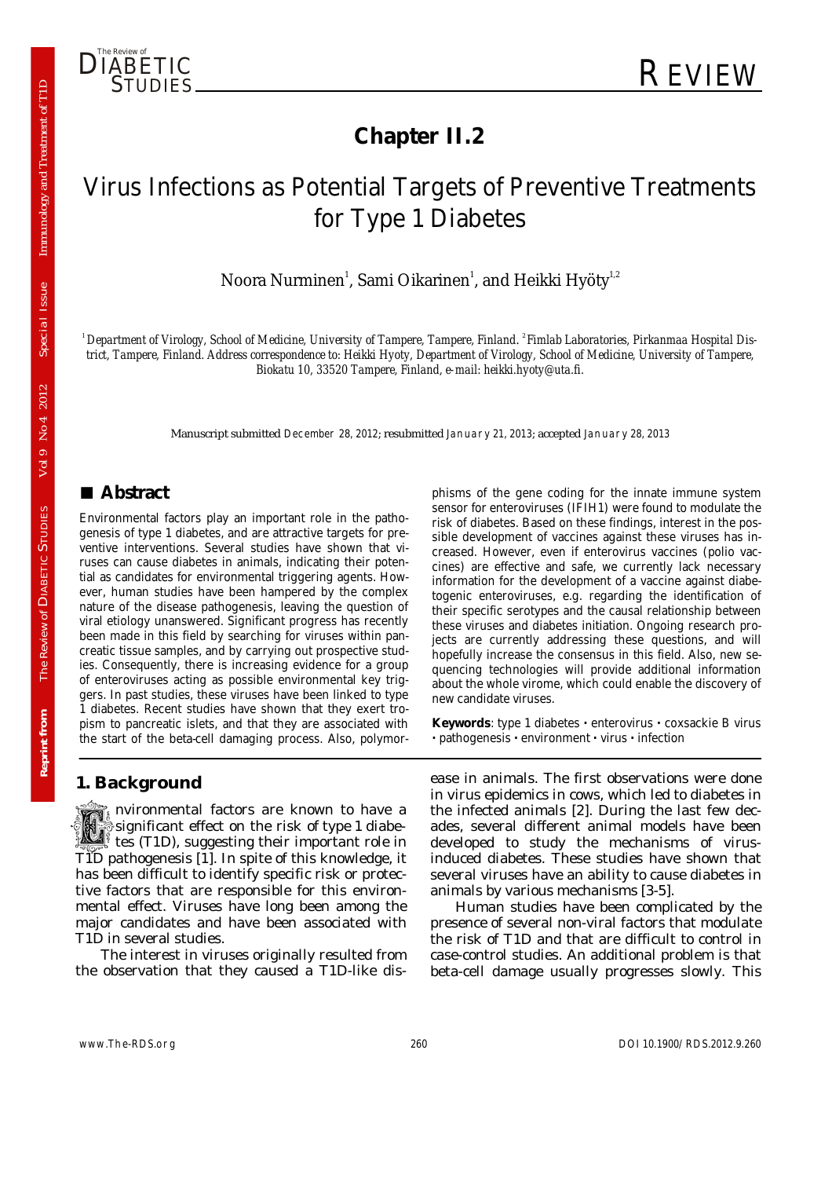

# **Chapter II.2**

# Virus Infections as Potential Targets of Preventive Treatments for Type 1 Diabetes

Noora Nurminen $^{\rm l}$ , Sami Oikarinen $^{\rm l}$ , and Heikki Hyöty $^{\rm l,2}$ 

<sup>1</sup> Department of Virology, School of Medicine, University of Tampere, Tampere, Finland. <sup>2</sup> Fimlab Laboratories, Pirkanmaa Hospital Dis*trict, Tampere, Finland. Address correspondence to: Heikki Hyoty, Department of Virology, School of Medicine, University of Tampere, Biokatu 10, 33520 Tampere, Finland, e-mail: heikki.hyoty@uta.fi.* 

Manuscript submitted December 28, 2012; resubmitted January 21, 2013; accepted January 28, 2013

# **■ Abstract**

Environmental factors play an important role in the pathogenesis of type 1 diabetes, and are attractive targets for preventive interventions. Several studies have shown that viruses can cause diabetes in animals, indicating their potential as candidates for environmental triggering agents. However, human studies have been hampered by the complex nature of the disease pathogenesis, leaving the question of viral etiology unanswered. Significant progress has recently been made in this field by searching for viruses within pancreatic tissue samples, and by carrying out prospective studies. Consequently, there is increasing evidence for a group of enteroviruses acting as possible environmental key triggers. In past studies, these viruses have been linked to type 1 diabetes. Recent studies have shown that they exert tropism to pancreatic islets, and that they are associated with the start of the beta-cell damaging process. Also, polymor-

### **1. Background**

nvironmental factors are known to have a significant effect on the risk of type 1 diabe- If tes (T1D), suggesting their important role in T1D pathogenesis [1]. In spite of this knowledge, it has been difficult to identify specific risk or protective factors that are responsible for this environmental effect. Viruses have long been among the major candidates and have been associated with T1D in several studies.

The interest in viruses originally resulted from the observation that they caused a T1D-like dis-

phisms of the gene coding for the innate immune system sensor for enteroviruses (IFIH1) were found to modulate the risk of diabetes. Based on these findings, interest in the possible development of vaccines against these viruses has increased. However, even if enterovirus vaccines (polio vaccines) are effective and safe, we currently lack necessary information for the development of a vaccine against diabetogenic enteroviruses, e.g. regarding the identification of their specific serotypes and the causal relationship between these viruses and diabetes initiation. Ongoing research projects are currently addressing these questions, and will hopefully increase the consensus in this field. Also, new sequencing technologies will provide additional information about the whole virome, which could enable the discovery of new candidate viruses.

**Keywords**: type 1 diabetes **·** enterovirus **·** coxsackie B virus **·** pathogenesis **·** environment **·** virus **·** infection

ease in animals. The first observations were done in virus epidemics in cows, which led to diabetes in the infected animals [2]. During the last few decades, several different animal models have been developed to study the mechanisms of virusinduced diabetes. These studies have shown that several viruses have an ability to cause diabetes in animals by various mechanisms [3-5].

Human studies have been complicated by the presence of several non-viral factors that modulate the risk of T1D and that are difficult to control in case-control studies. An additional problem is that beta-cell damage usually progresses slowly. This

Reprint from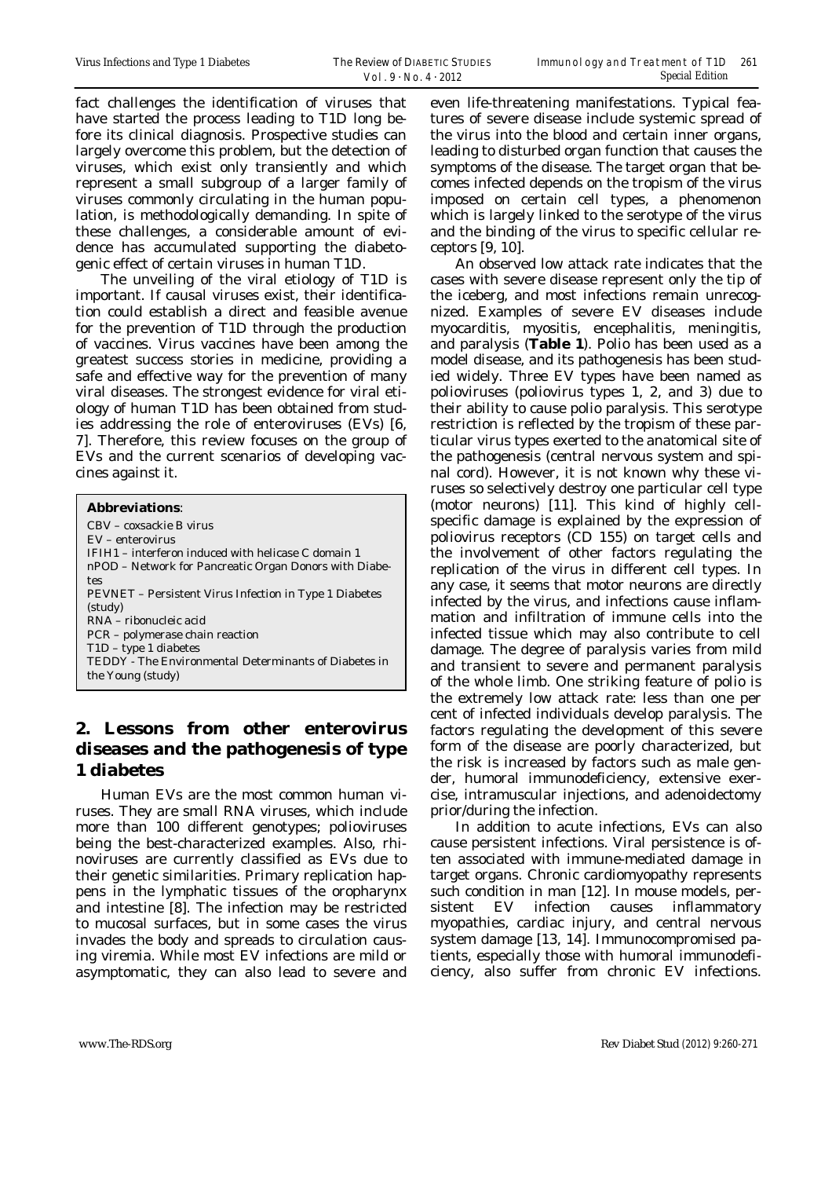fact challenges the identification of viruses that have started the process leading to T1D long before its clinical diagnosis. Prospective studies can largely overcome this problem, but the detection of viruses, which exist only transiently and which represent a small subgroup of a larger family of viruses commonly circulating in the human population, is methodologically demanding. In spite of these challenges, a considerable amount of evidence has accumulated supporting the diabetogenic effect of certain viruses in human T1D.

The unveiling of the viral etiology of T1D is important. If causal viruses exist, their identification could establish a direct and feasible avenue for the prevention of T1D through the production of vaccines. Virus vaccines have been among the greatest success stories in medicine, providing a safe and effective way for the prevention of many viral diseases. The strongest evidence for viral etiology of human T1D has been obtained from studies addressing the role of enteroviruses (EVs) [6, 7]. Therefore, this review focuses on the group of EVs and the current scenarios of developing vaccines against it.

| <b>Abbreviations:</b>                                         |
|---------------------------------------------------------------|
| CBV - coxsackie B virus                                       |
| $EV - enterovirus$                                            |
| IFIH1 – interferon induced with helicase C domain 1           |
| nPOD – Network for Pancreatic Organ Donors with Diabe-        |
| tes                                                           |
| <b>PEVNET</b> – Persistent Virus Infection in Type 1 Diabetes |
| (study)                                                       |
| RNA – ribonucleic acid                                        |
| PCR – polymerase chain reaction                               |
| $T1D - type 1 diabetes$                                       |
| TEDDY - The Environmental Determinants of Diabetes in         |
| the Young (study)                                             |
|                                                               |

# **2. Lessons from other enterovirus diseases and the pathogenesis of type 1 diabetes**

Human EVs are the most common human viruses. They are small RNA viruses, which include more than 100 different genotypes; polioviruses being the best-characterized examples. Also, rhinoviruses are currently classified as EVs due to their genetic similarities. Primary replication happens in the lymphatic tissues of the oropharynx and intestine [8]. The infection may be restricted to mucosal surfaces, but in some cases the virus invades the body and spreads to circulation causing viremia. While most EV infections are mild or asymptomatic, they can also lead to severe and

even life-threatening manifestations. Typical features of severe disease include systemic spread of the virus into the blood and certain inner organs, leading to disturbed organ function that causes the symptoms of the disease. The target organ that becomes infected depends on the tropism of the virus imposed on certain cell types, a phenomenon which is largely linked to the serotype of the virus and the binding of the virus to specific cellular receptors [9, 10].

An observed low attack rate indicates that the cases with severe disease represent only the tip of the iceberg, and most infections remain unrecognized. Examples of severe EV diseases include myocarditis, myositis, encephalitis, meningitis, and paralysis (**Table 1**). Polio has been used as a model disease, and its pathogenesis has been studied widely. Three EV types have been named as polioviruses (poliovirus types 1, 2, and 3) due to their ability to cause polio paralysis. This serotype restriction is reflected by the tropism of these particular virus types exerted to the anatomical site of the pathogenesis (central nervous system and spinal cord). However, it is not known why these viruses so selectively destroy one particular cell type (motor neurons) [11]. This kind of highly cellspecific damage is explained by the expression of poliovirus receptors (CD 155) on target cells and the involvement of other factors regulating the replication of the virus in different cell types. In any case, it seems that motor neurons are directly infected by the virus, and infections cause inflammation and infiltration of immune cells into the infected tissue which may also contribute to cell damage. The degree of paralysis varies from mild and transient to severe and permanent paralysis of the whole limb. One striking feature of polio is the extremely low attack rate: less than one per cent of infected individuals develop paralysis. The factors regulating the development of this severe form of the disease are poorly characterized, but the risk is increased by factors such as male gender, humoral immunodeficiency, extensive exercise, intramuscular injections, and adenoidectomy prior/during the infection.

In addition to acute infections, EVs can also cause persistent infections. Viral persistence is often associated with immune-mediated damage in target organs. Chronic cardiomyopathy represents such condition in man [12]. In mouse models, persistent EV infection causes inflammatory myopathies, cardiac injury, and central nervous system damage [13, 14]. Immunocompromised patients, especially those with humoral immunodeficiency, also suffer from chronic EV infections.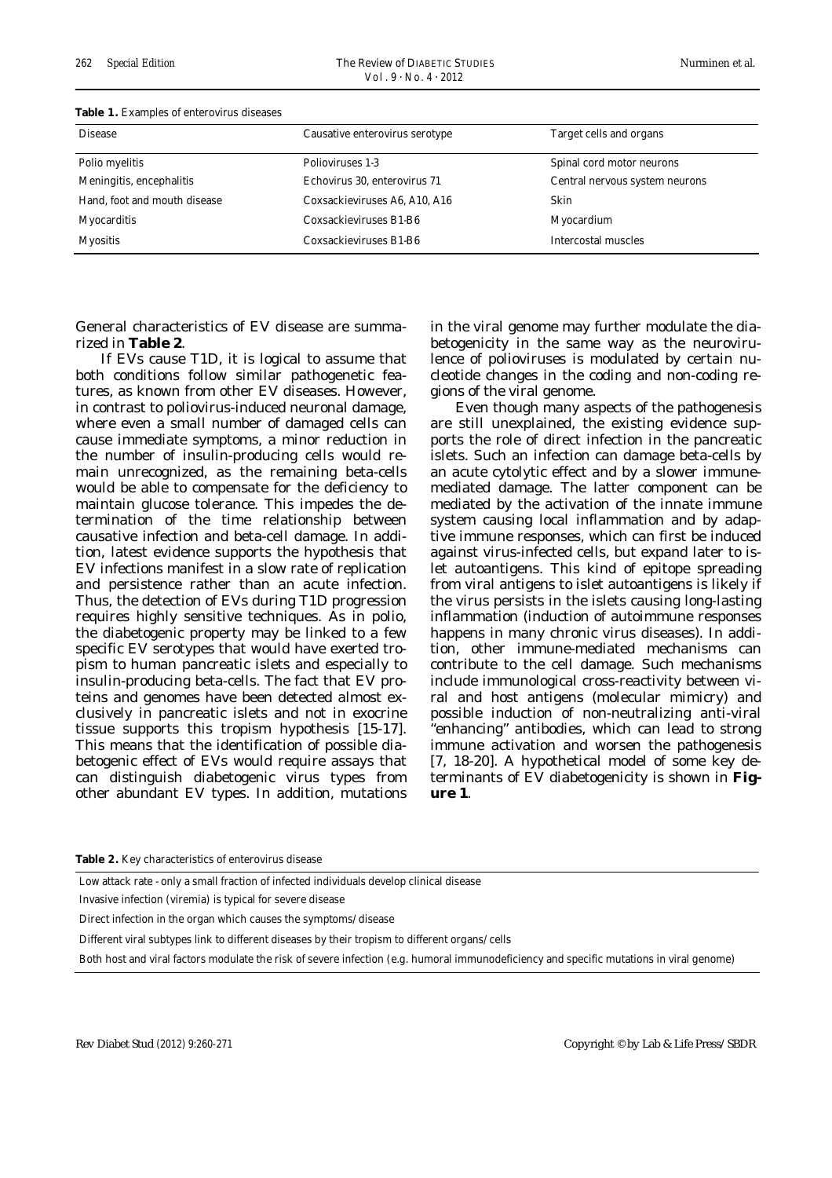| <b>Table 1:</b> Examples of enterovatas diseases |                                |                                |
|--------------------------------------------------|--------------------------------|--------------------------------|
| <b>Disease</b>                                   | Causative enterovirus serotype | Target cells and organs        |
| Polio myelitis                                   | Polioviruses 1-3               | Spinal cord motor neurons      |
| Meningitis, encephalitis                         | Echovirus 30, enterovirus 71   | Central nervous system neurons |
| Hand, foot and mouth disease                     | Coxsackieviruses A6, A10, A16  | Skin                           |
| <b>Myocarditis</b>                               | Coxsackieviruses B1-B6         | Myocardium                     |
| <b>Myositis</b>                                  | Coxsackieviruses B1-B6         | Intercostal muscles            |

#### **Table 1.** Examples of enterovirus diseases

General characteristics of EV disease are summarized in **Table 2**.

If EVs cause T1D, it is logical to assume that both conditions follow similar pathogenetic features, as known from other EV diseases. However, in contrast to poliovirus-induced neuronal damage, where even a small number of damaged cells can cause immediate symptoms, a minor reduction in the number of insulin-producing cells would remain unrecognized, as the remaining beta-cells would be able to compensate for the deficiency to maintain glucose tolerance. This impedes the determination of the time relationship between causative infection and beta-cell damage. In addition, latest evidence supports the hypothesis that EV infections manifest in a slow rate of replication and persistence rather than an acute infection. Thus, the detection of EVs during T1D progression requires highly sensitive techniques. As in polio, the diabetogenic property may be linked to a few specific EV serotypes that would have exerted tropism to human pancreatic islets and especially to insulin-producing beta-cells. The fact that EV proteins and genomes have been detected almost exclusively in pancreatic islets and not in exocrine tissue supports this tropism hypothesis [15-17]. This means that the identification of possible diabetogenic effect of EVs would require assays that can distinguish diabetogenic virus types from other abundant EV types. In addition, mutations

in the viral genome may further modulate the diabetogenicity in the same way as the neurovirulence of polioviruses is modulated by certain nucleotide changes in the coding and non-coding regions of the viral genome.

Even though many aspects of the pathogenesis are still unexplained, the existing evidence supports the role of direct infection in the pancreatic islets. Such an infection can damage beta-cells by an acute cytolytic effect and by a slower immunemediated damage. The latter component can be mediated by the activation of the innate immune system causing local inflammation and by adaptive immune responses, which can first be induced against virus-infected cells, but expand later to islet autoantigens. This kind of epitope spreading from viral antigens to islet autoantigens is likely if the virus persists in the islets causing long-lasting inflammation (induction of autoimmune responses happens in many chronic virus diseases). In addition, other immune-mediated mechanisms can contribute to the cell damage. Such mechanisms include immunological cross-reactivity between viral and host antigens (molecular mimicry) and possible induction of non-neutralizing anti-viral "enhancing" antibodies, which can lead to strong immune activation and worsen the pathogenesis [7, 18-20]. A hypothetical model of some key determinants of EV diabetogenicity is shown in **Figure 1**.

**Table 2.** Key characteristics of enterovirus disease

Low attack rate - only a small fraction of infected individuals develop clinical disease

Invasive infection (viremia) is typical for severe disease

Direct infection in the organ which causes the symptoms/disease

Different viral subtypes link to different diseases by their tropism to different organs/cells

Both host and viral factors modulate the risk of severe infection (e.g. humoral immunodeficiency and specific mutations in viral genome)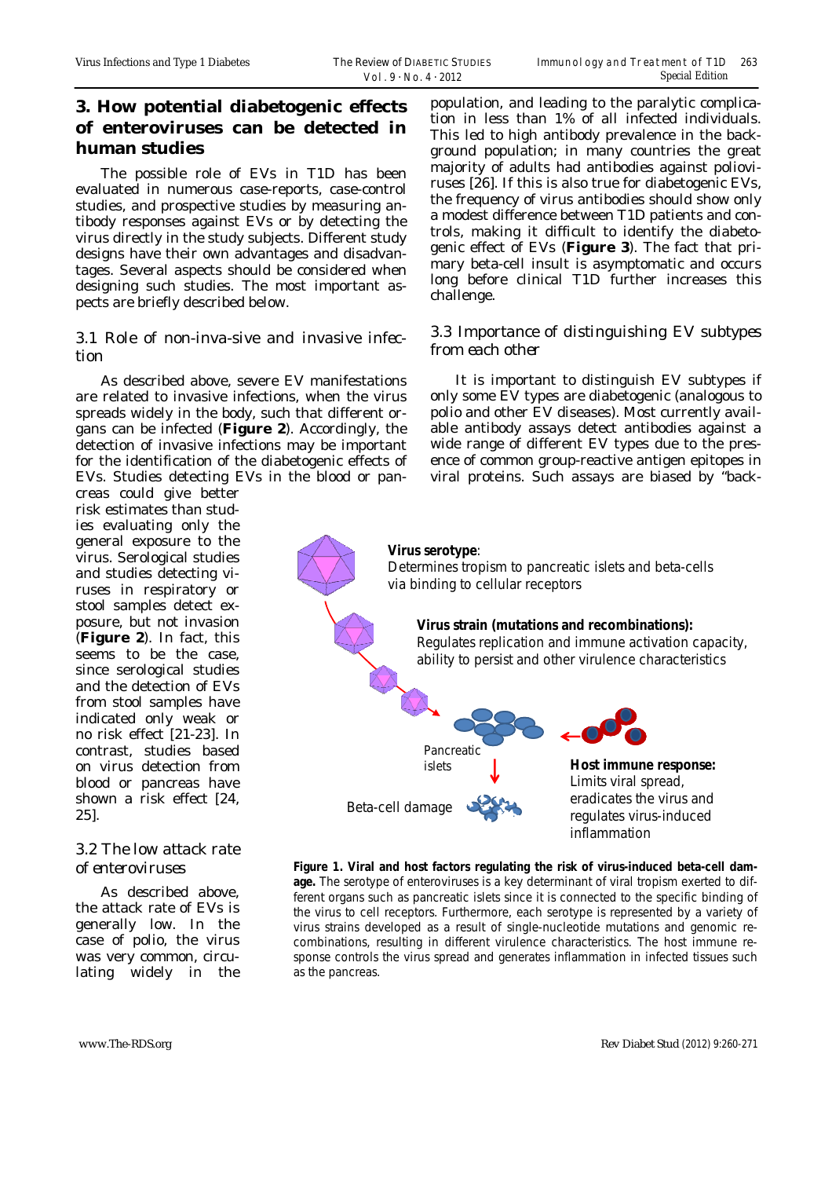# **3. How potential diabetogenic effects of enteroviruses can be detected in human studies**

The possible role of EVs in T1D has been evaluated in numerous case-reports, case-control studies, and prospective studies by measuring antibody responses against EVs or by detecting the virus directly in the study subjects. Different study designs have their own advantages and disadvantages. Several aspects should be considered when designing such studies. The most important aspects are briefly described below.

### *3.1 Role of non-inva-sive and invasive infection*

As described above, severe EV manifestations are related to invasive infections, when the virus spreads widely in the body, such that different organs can be infected (**Figure 2**). Accordingly, the detection of invasive infections may be important for the identification of the diabetogenic effects of EVs. Studies detecting EVs in the blood or pan-

creas could give better risk estimates than studies evaluating only the general exposure to the virus. Serological studies and studies detecting viruses in respiratory or stool samples detect exposure, but not invasion (**Figure 2**). In fact, this seems to be the case, since serological studies and the detection of EVs from stool samples have indicated only weak or no risk effect [21-23]. In contrast, studies based on virus detection from blood or pancreas have shown a risk effect [24, 25].

# *3.2 The low attack rate of enteroviruses*

As described above, the attack rate of EVs is generally low. In the case of polio, the virus was very common, circulating widely in the population, and leading to the paralytic complication in less than 1% of all infected individuals. This led to high antibody prevalence in the background population; in many countries the great majority of adults had antibodies against polioviruses [26]. If this is also true for diabetogenic EVs, the frequency of virus antibodies should show only a modest difference between T1D patients and controls, making it difficult to identify the diabetogenic effect of EVs (**Figure 3**). The fact that primary beta-cell insult is asymptomatic and occurs long before clinical T1D further increases this challenge.

## *3.3 Importance of distinguishing EV subtypes from each other*

It is important to distinguish EV subtypes if only some EV types are diabetogenic (analogous to polio and other EV diseases). Most currently available antibody assays detect antibodies against a wide range of different EV types due to the presence of common group-reactive antigen epitopes in viral proteins. Such assays are biased by "back-

#### **Virus serotype**:

Pancreatic islets

Beta-cell damage

Determines tropism to pancreatic islets and beta-cells via binding to cellular receptors

#### **Virus strain (mutations and recombinations):** Regulates replication and immune activation capacity,

ability to persist and other virulence characteristics

**Host immune response:** Limits viral spread, eradicates the virus and regulates virus-induced inflammation

**Figure 1. Viral and host factors regulating the risk of virus-induced beta-cell damage.** The serotype of enteroviruses is a key determinant of viral tropism exerted to different organs such as pancreatic islets since it is connected to the specific binding of the virus to cell receptors. Furthermore, each serotype is represented by a variety of virus strains developed as a result of single-nucleotide mutations and genomic recombinations, resulting in different virulence characteristics. The host immune response controls the virus spread and generates inflammation in infected tissues such as the pancreas.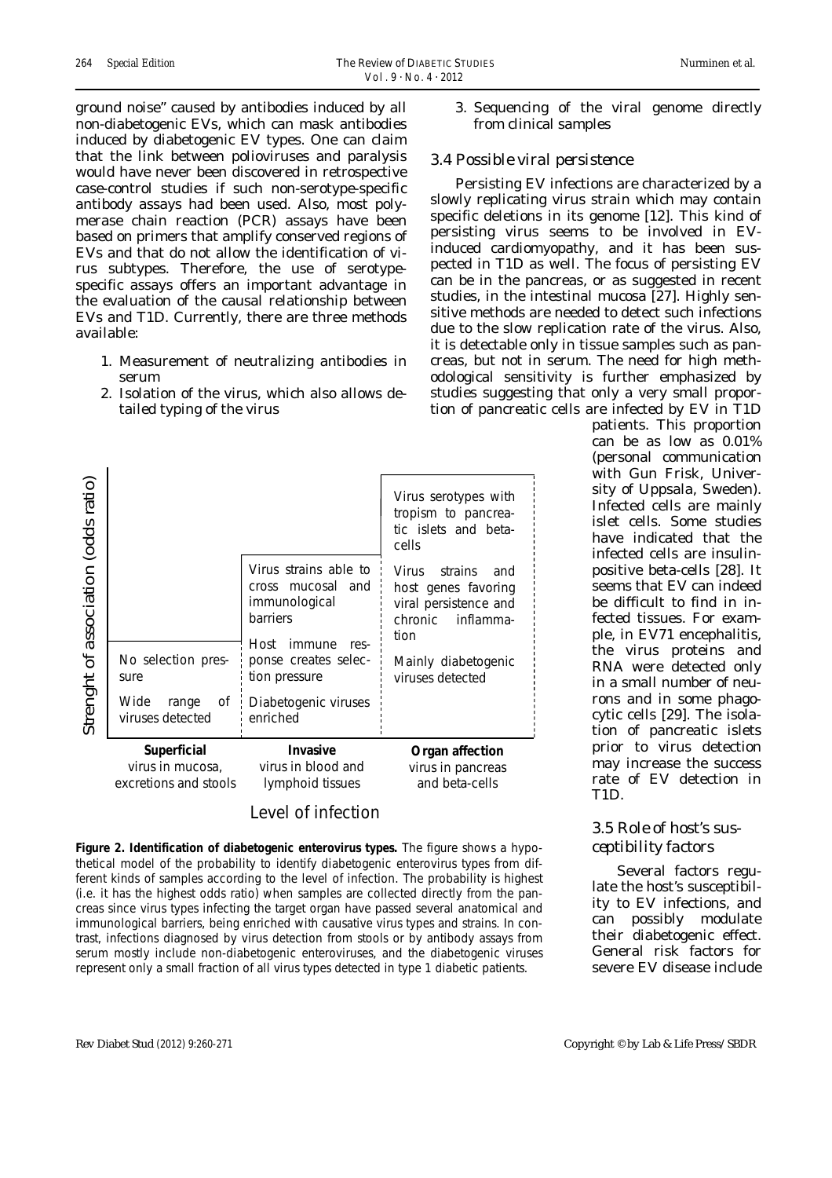ground noise" caused by antibodies induced by all non-diabetogenic EVs, which can mask antibodies induced by diabetogenic EV types. One can claim that the link between polioviruses and paralysis would have never been discovered in retrospective case-control studies if such non-serotype-specific antibody assays had been used. Also, most polymerase chain reaction (PCR) assays have been based on primers that amplify conserved regions of EVs and that do not allow the identification of virus subtypes. Therefore, the use of serotypespecific assays offers an important advantage in the evaluation of the causal relationship between EVs and T1D. Currently, there are three methods available:

- 1. Measurement of neutralizing antibodies in serum
- 2. Isolation of the virus, which also allows detailed typing of the virus



### Level of infection

**Figure 2. Identification of diabetogenic enterovirus types.** The figure shows a hypothetical model of the probability to identify diabetogenic enterovirus types from different kinds of samples according to the level of infection. The probability is highest (i.e. it has the highest odds ratio) when samples are collected directly from the pancreas since virus types infecting the target organ have passed several anatomical and immunological barriers, being enriched with causative virus types and strains. In contrast, infections diagnosed by virus detection from stools or by antibody assays from serum mostly include non-diabetogenic enteroviruses, and the diabetogenic viruses represent only a small fraction of all virus types detected in type 1 diabetic patients.

3. Sequencing of the viral genome directly from clinical samples

## *3.4 Possible viral persistence*

Persisting EV infections are characterized by a slowly replicating virus strain which may contain specific deletions in its genome [12]. This kind of persisting virus seems to be involved in EVinduced cardiomyopathy, and it has been suspected in T1D as well. The focus of persisting EV can be in the pancreas, or as suggested in recent studies, in the intestinal mucosa [27]. Highly sensitive methods are needed to detect such infections due to the slow replication rate of the virus. Also, it is detectable only in tissue samples such as pancreas, but not in serum. The need for high methodological sensitivity is further emphasized by studies suggesting that only a very small proportion of pancreatic cells are infected by EV in T1D

> patients. This proportion can be as low as 0.01% (personal communication with Gun Frisk, University of Uppsala, Sweden). Infected cells are mainly islet cells. Some studies have indicated that the infected cells are insulinpositive beta-cells [28]. It seems that EV can indeed be difficult to find in infected tissues. For example, in EV71 encephalitis, the virus proteins and RNA were detected only in a small number of neurons and in some phagocytic cells [29]. The isolation of pancreatic islets prior to virus detection may increase the success rate of EV detection in T1D.

### *3.5 Role of host's susceptibility factors*

Several factors regulate the host's susceptibility to EV infections, and can possibly modulate their diabetogenic effect. General risk factors for severe EV disease include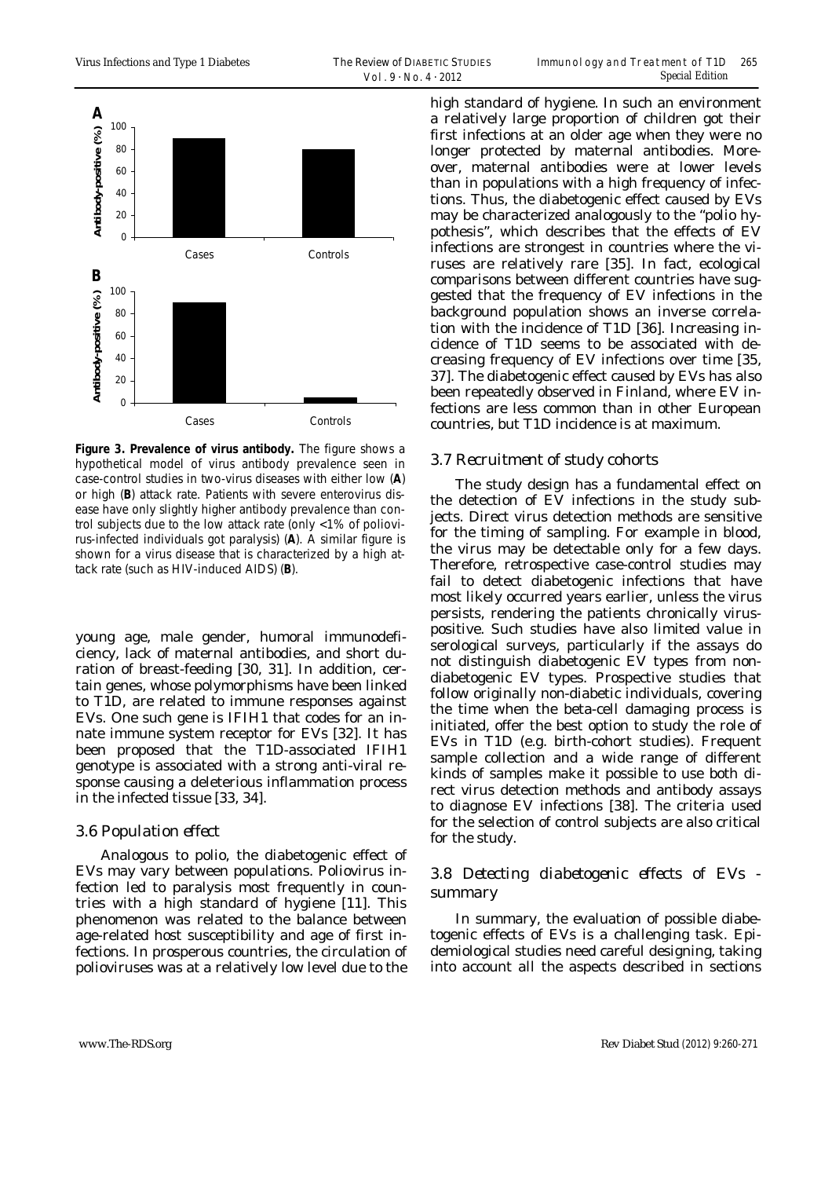

**Figure 3. Prevalence of virus antibody.** The figure shows a hypothetical model of virus antibody prevalence seen in case-control studies in two-virus diseases with either low (**A**) or high (**B**) attack rate. Patients with severe enterovirus disease have only slightly higher antibody prevalence than control subjects due to the low attack rate (only <1% of poliovirus-infected individuals got paralysis) (**A**). A similar figure is shown for a virus disease that is characterized by a high attack rate (such as HIV-induced AIDS) (**B**).

young age, male gender, humoral immunodeficiency, lack of maternal antibodies, and short duration of breast-feeding [30, 31]. In addition, certain genes, whose polymorphisms have been linked to T1D, are related to immune responses against EVs. One such gene is IFIH1 that codes for an innate immune system receptor for EVs [32]. It has been proposed that the T1D-associated IFIH1 genotype is associated with a strong anti-viral response causing a deleterious inflammation process in the infected tissue [33, 34].

#### *3.6 Population effect*

Analogous to polio, the diabetogenic effect of EVs may vary between populations. Poliovirus infection led to paralysis most frequently in countries with a high standard of hygiene [11]. This phenomenon was related to the balance between age-related host susceptibility and age of first infections. In prosperous countries, the circulation of polioviruses was at a relatively low level due to the

high standard of hygiene. In such an environment a relatively large proportion of children got their first infections at an older age when they were no longer protected by maternal antibodies. Moreover, maternal antibodies were at lower levels than in populations with a high frequency of infections. Thus, the diabetogenic effect caused by EVs may be characterized analogously to the "polio hypothesis", which describes that the effects of EV infections are strongest in countries where the viruses are relatively rare [35]. In fact, ecological comparisons between different countries have suggested that the frequency of EV infections in the background population shows an inverse correlation with the incidence of T1D [36]. Increasing incidence of T1D seems to be associated with decreasing frequency of EV infections over time [35, 37]. The diabetogenic effect caused by EVs has also been repeatedly observed in Finland, where EV infections are less common than in other European countries, but T1D incidence is at maximum.

#### *3.7 Recruitment of study cohorts*

The study design has a fundamental effect on the detection of EV infections in the study subjects. Direct virus detection methods are sensitive for the timing of sampling. For example in blood, the virus may be detectable only for a few days. Therefore, retrospective case-control studies may fail to detect diabetogenic infections that have most likely occurred years earlier, unless the virus persists, rendering the patients chronically viruspositive. Such studies have also limited value in serological surveys, particularly if the assays do not distinguish diabetogenic EV types from nondiabetogenic EV types. Prospective studies that follow originally non-diabetic individuals, covering the time when the beta-cell damaging process is initiated, offer the best option to study the role of EVs in T1D (e.g. birth-cohort studies). Frequent sample collection and a wide range of different kinds of samples make it possible to use both direct virus detection methods and antibody assays to diagnose EV infections [38]. The criteria used for the selection of control subjects are also critical for the study.

### *3.8 Detecting diabetogenic effects of EVs summary*

In summary, the evaluation of possible diabetogenic effects of EVs is a challenging task. Epidemiological studies need careful designing, taking into account all the aspects described in sections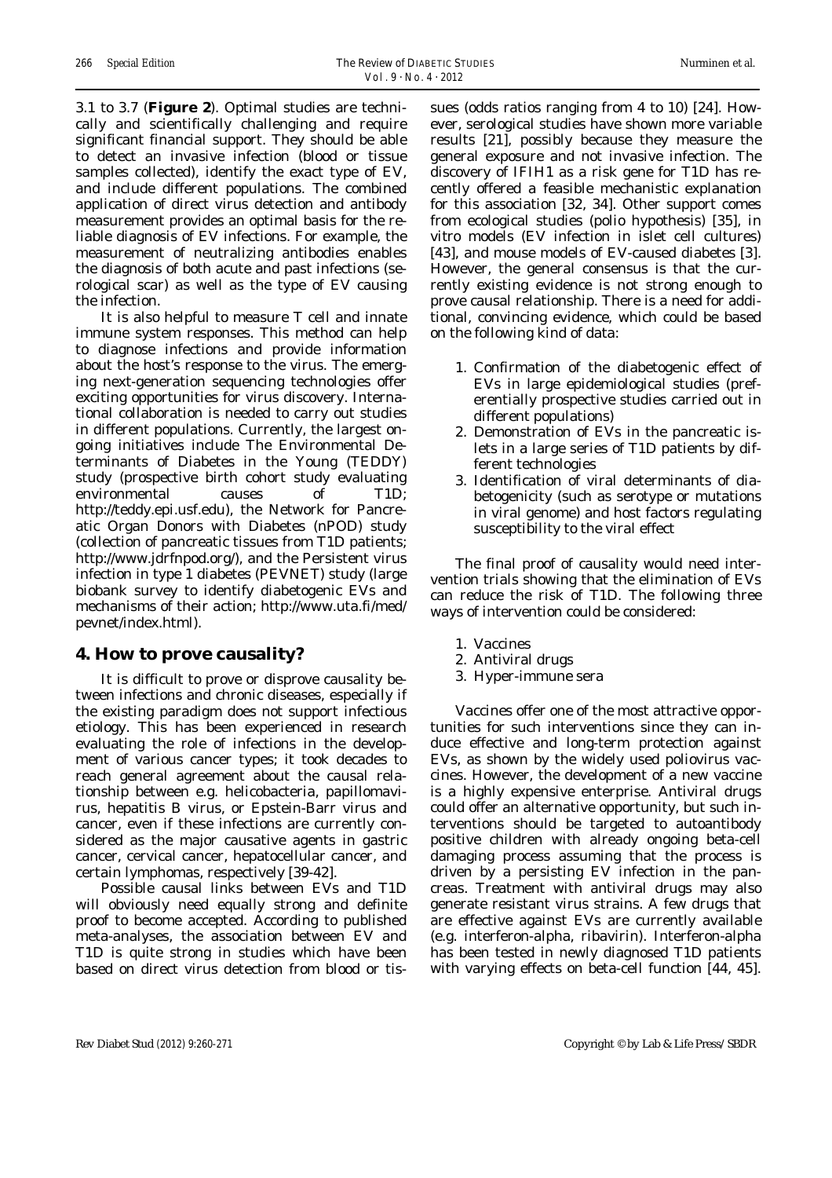3.1 to 3.7 (**Figure 2**). Optimal studies are technically and scientifically challenging and require significant financial support. They should be able to detect an invasive infection (blood or tissue samples collected), identify the exact type of EV, and include different populations. The combined application of direct virus detection and antibody measurement provides an optimal basis for the reliable diagnosis of EV infections. For example, the measurement of neutralizing antibodies enables the diagnosis of both acute and past infections (serological scar) as well as the type of EV causing the infection.

It is also helpful to measure T cell and innate immune system responses. This method can help to diagnose infections and provide information about the host's response to the virus. The emerging next-generation sequencing technologies offer exciting opportunities for virus discovery. International collaboration is needed to carry out studies in different populations. Currently, the largest ongoing initiatives include The Environmental Determinants of Diabetes in the Young (TEDDY) study (prospective birth cohort study evaluating environmental causes of T1D; http://teddy.epi.usf.edu), the Network for Pancreatic Organ Donors with Diabetes (nPOD) study (collection of pancreatic tissues from T1D patients; http://www.jdrfnpod.org/), and the Persistent virus infection in type 1 diabetes (PEVNET) study (large biobank survey to identify diabetogenic EVs and mechanisms of their action; http://www.uta.fi/med/ pevnet/index.html).

#### **4. How to prove causality?**

It is difficult to prove or disprove causality between infections and chronic diseases, especially if the existing paradigm does not support infectious etiology. This has been experienced in research evaluating the role of infections in the development of various cancer types; it took decades to reach general agreement about the causal relationship between e.g. helicobacteria, papillomavirus, hepatitis B virus, or Epstein-Barr virus and cancer, even if these infections are currently considered as the major causative agents in gastric cancer, cervical cancer, hepatocellular cancer, and certain lymphomas, respectively [39-42].

Possible causal links between EVs and T1D will obviously need equally strong and definite proof to become accepted. According to published meta-analyses, the association between EV and T1D is quite strong in studies which have been based on direct virus detection from blood or tissues (odds ratios ranging from 4 to 10) [24]. However, serological studies have shown more variable results [21], possibly because they measure the general exposure and not invasive infection. The discovery of IFIH1 as a risk gene for T1D has recently offered a feasible mechanistic explanation for this association [32, 34]. Other support comes from ecological studies (polio hypothesis) [35], *in vitro* models (EV infection in islet cell cultures) [43], and mouse models of EV-caused diabetes [3]. However, the general consensus is that the currently existing evidence is not strong enough to prove causal relationship. There is a need for additional, convincing evidence, which could be based on the following kind of data:

- 1. Confirmation of the diabetogenic effect of EVs in large epidemiological studies (preferentially prospective studies carried out in different populations)
- 2. Demonstration of EVs in the pancreatic islets in a large series of T1D patients by different technologies
- 3. Identification of viral determinants of diabetogenicity (such as serotype or mutations in viral genome) and host factors regulating susceptibility to the viral effect

The final proof of causality would need intervention trials showing that the elimination of EVs can reduce the risk of T1D. The following three ways of intervention could be considered:

- 1. Vaccines
- 2. Antiviral drugs
- 3. Hyper-immune sera

Vaccines offer one of the most attractive opportunities for such interventions since they can induce effective and long-term protection against EVs, as shown by the widely used poliovirus vaccines. However, the development of a new vaccine is a highly expensive enterprise. Antiviral drugs could offer an alternative opportunity, but such interventions should be targeted to autoantibody positive children with already ongoing beta-cell damaging process assuming that the process is driven by a persisting EV infection in the pancreas. Treatment with antiviral drugs may also generate resistant virus strains. A few drugs that are effective against EVs are currently available (e.g. interferon-alpha, ribavirin). Interferon-alpha has been tested in newly diagnosed T1D patients with varying effects on beta-cell function [44, 45].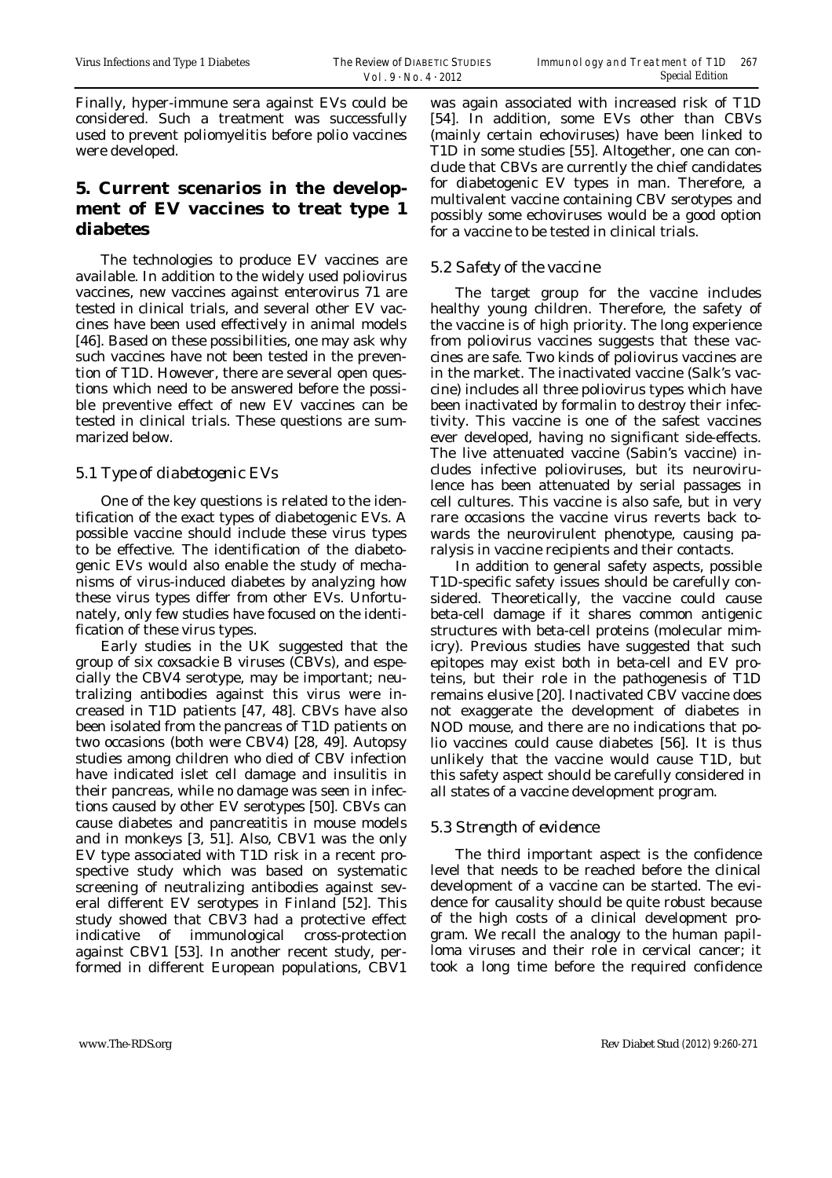Finally, hyper-immune sera against EVs could be considered. Such a treatment was successfully used to prevent poliomyelitis before polio vaccines were developed.

# **5. Current scenarios in the development of EV vaccines to treat type 1 diabetes**

The technologies to produce EV vaccines are available. In addition to the widely used poliovirus vaccines, new vaccines against enterovirus 71 are tested in clinical trials, and several other EV vaccines have been used effectively in animal models [46]. Based on these possibilities, one may ask why such vaccines have not been tested in the prevention of T1D. However, there are several open questions which need to be answered before the possible preventive effect of new EV vaccines can be tested in clinical trials. These questions are summarized below.

## *5.1 Type of diabetogenic EVs*

One of the key questions is related to the identification of the exact types of diabetogenic EVs. A possible vaccine should include these virus types to be effective. The identification of the diabetogenic EVs would also enable the study of mechanisms of virus-induced diabetes by analyzing how these virus types differ from other EVs. Unfortunately, only few studies have focused on the identification of these virus types.

Early studies in the UK suggested that the group of six coxsackie B viruses (CBVs), and especially the CBV4 serotype, may be important; neutralizing antibodies against this virus were increased in T1D patients [47, 48]. CBVs have also been isolated from the pancreas of T1D patients on two occasions (both were CBV4) [28, 49]. Autopsy studies among children who died of CBV infection have indicated islet cell damage and insulitis in their pancreas, while no damage was seen in infections caused by other EV serotypes [50]. CBVs can cause diabetes and pancreatitis in mouse models and in monkeys [3, 51]. Also, CBV1 was the only EV type associated with T1D risk in a recent prospective study which was based on systematic screening of neutralizing antibodies against several different EV serotypes in Finland [52]. This study showed that CBV3 had a protective effect indicative of immunological cross-protection against CBV1 [53]. In another recent study, performed in different European populations, CBV1

was again associated with increased risk of T1D [54]. In addition, some EVs other than CBVs (mainly certain echoviruses) have been linked to T1D in some studies [55]. Altogether, one can conclude that CBVs are currently the chief candidates for diabetogenic EV types in man. Therefore, a multivalent vaccine containing CBV serotypes and possibly some echoviruses would be a good option for a vaccine to be tested in clinical trials.

## *5.2 Safety of the vaccine*

The target group for the vaccine includes healthy young children. Therefore, the safety of the vaccine is of high priority. The long experience from poliovirus vaccines suggests that these vaccines are safe. Two kinds of poliovirus vaccines are in the market. The inactivated vaccine (Salk's vaccine) includes all three poliovirus types which have been inactivated by formalin to destroy their infectivity. This vaccine is one of the safest vaccines ever developed, having no significant side-effects. The live attenuated vaccine (Sabin's vaccine) includes infective polioviruses, but its neurovirulence has been attenuated by serial passages in cell cultures. This vaccine is also safe, but in very rare occasions the vaccine virus reverts back towards the neurovirulent phenotype, causing paralysis in vaccine recipients and their contacts.

In addition to general safety aspects, possible T1D-specific safety issues should be carefully considered. Theoretically, the vaccine could cause beta-cell damage if it shares common antigenic structures with beta-cell proteins (molecular mimicry). Previous studies have suggested that such epitopes may exist both in beta-cell and EV proteins, but their role in the pathogenesis of T1D remains elusive [20]. Inactivated CBV vaccine does not exaggerate the development of diabetes in NOD mouse, and there are no indications that polio vaccines could cause diabetes [56]. It is thus unlikely that the vaccine would cause T1D, but this safety aspect should be carefully considered in all states of a vaccine development program.

### *5.3 Strength of evidence*

The third important aspect is the confidence level that needs to be reached before the clinical development of a vaccine can be started. The evidence for causality should be quite robust because of the high costs of a clinical development program. We recall the analogy to the human papilloma viruses and their role in cervical cancer; it took a long time before the required confidence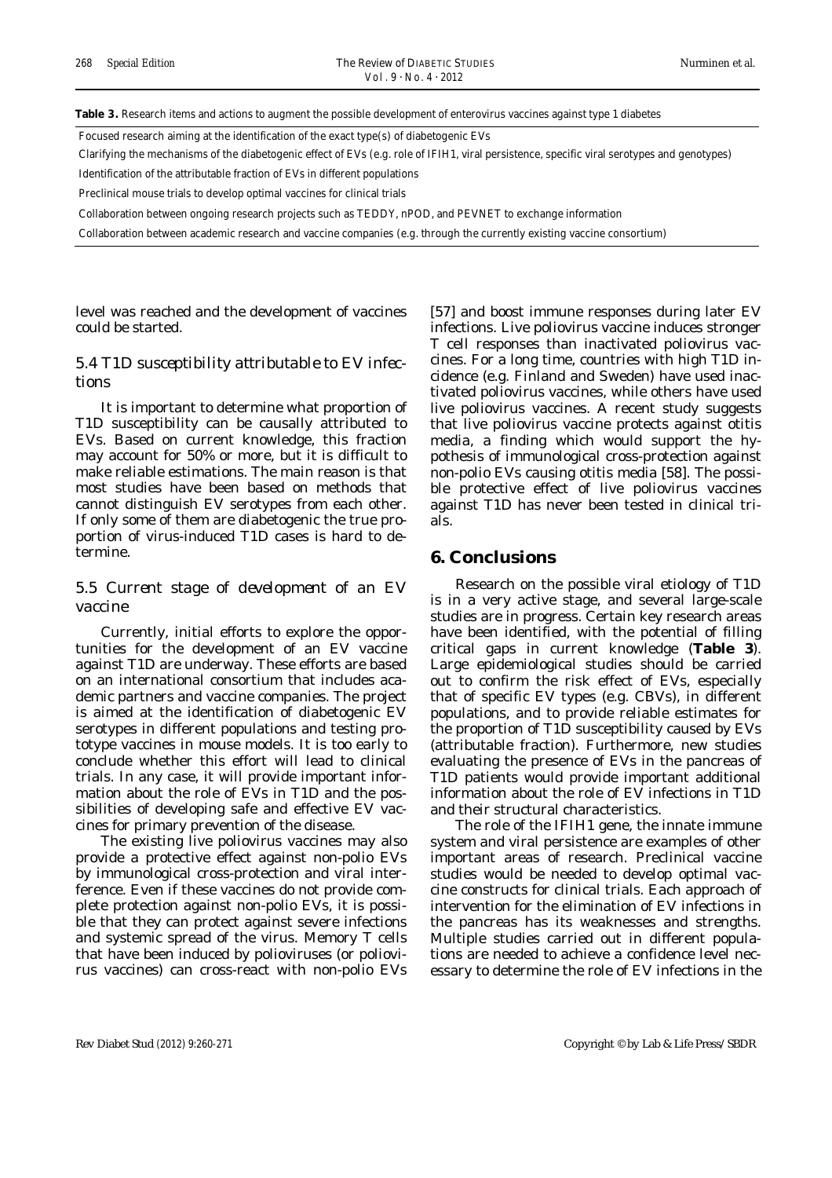**Table 3.** Research items and actions to augment the possible development of enterovirus vaccines against type 1 diabetes

Focused research aiming at the identification of the exact type(s) of diabetogenic EVs

Clarifying the mechanisms of the diabetogenic effect of EVs (e.g. role of IFIH1, viral persistence, specific viral serotypes and genotypes)

Identification of the attributable fraction of EVs in different populations

Preclinical mouse trials to develop optimal vaccines for clinical trials

Collaboration between ongoing research projects such as TEDDY, nPOD, and PEVNET to exchange information

Collaboration between academic research and vaccine companies (e.g. through the currently existing vaccine consortium)

level was reached and the development of vaccines could be started.

#### *5.4 T1D susceptibility attributable to EV infections*

It is important to determine what proportion of T1D susceptibility can be causally attributed to EVs. Based on current knowledge, this fraction may account for 50% or more, but it is difficult to make reliable estimations. The main reason is that most studies have been based on methods that cannot distinguish EV serotypes from each other. If only some of them are diabetogenic the true proportion of virus-induced T1D cases is hard to determine.

#### *5.5 Current stage of development of an EV vaccine*

Currently, initial efforts to explore the opportunities for the development of an EV vaccine against T1D are underway. These efforts are based on an international consortium that includes academic partners and vaccine companies. The project is aimed at the identification of diabetogenic EV serotypes in different populations and testing prototype vaccines in mouse models. It is too early to conclude whether this effort will lead to clinical trials. In any case, it will provide important information about the role of EVs in T1D and the possibilities of developing safe and effective EV vaccines for primary prevention of the disease.

The existing live poliovirus vaccines may also provide a protective effect against non-polio EVs by immunological cross-protection and viral interference. Even if these vaccines do not provide complete protection against non-polio EVs, it is possible that they can protect against severe infections and systemic spread of the virus. Memory T cells that have been induced by polioviruses (or poliovirus vaccines) can cross-react with non-polio EVs [57] and boost immune responses during later EV infections. Live poliovirus vaccine induces stronger T cell responses than inactivated poliovirus vaccines. For a long time, countries with high T1D incidence (e.g. Finland and Sweden) have used inactivated poliovirus vaccines, while others have used live poliovirus vaccines. A recent study suggests that live poliovirus vaccine protects against otitis media, a finding which would support the hypothesis of immunological cross-protection against non-polio EVs causing otitis media [58]. The possible protective effect of live poliovirus vaccines against T1D has never been tested in clinical trials.

#### **6. Conclusions**

Research on the possible viral etiology of T1D is in a very active stage, and several large-scale studies are in progress. Certain key research areas have been identified, with the potential of filling critical gaps in current knowledge (**Table 3**). Large epidemiological studies should be carried out to confirm the risk effect of EVs, especially that of specific EV types (e.g. CBVs), in different populations, and to provide reliable estimates for the proportion of T1D susceptibility caused by EVs (attributable fraction). Furthermore, new studies evaluating the presence of EVs in the pancreas of T1D patients would provide important additional information about the role of EV infections in T1D and their structural characteristics.

The role of the IFIH1 gene, the innate immune system and viral persistence are examples of other important areas of research. Preclinical vaccine studies would be needed to develop optimal vaccine constructs for clinical trials. Each approach of intervention for the elimination of EV infections in the pancreas has its weaknesses and strengths. Multiple studies carried out in different populations are needed to achieve a confidence level necessary to determine the role of EV infections in the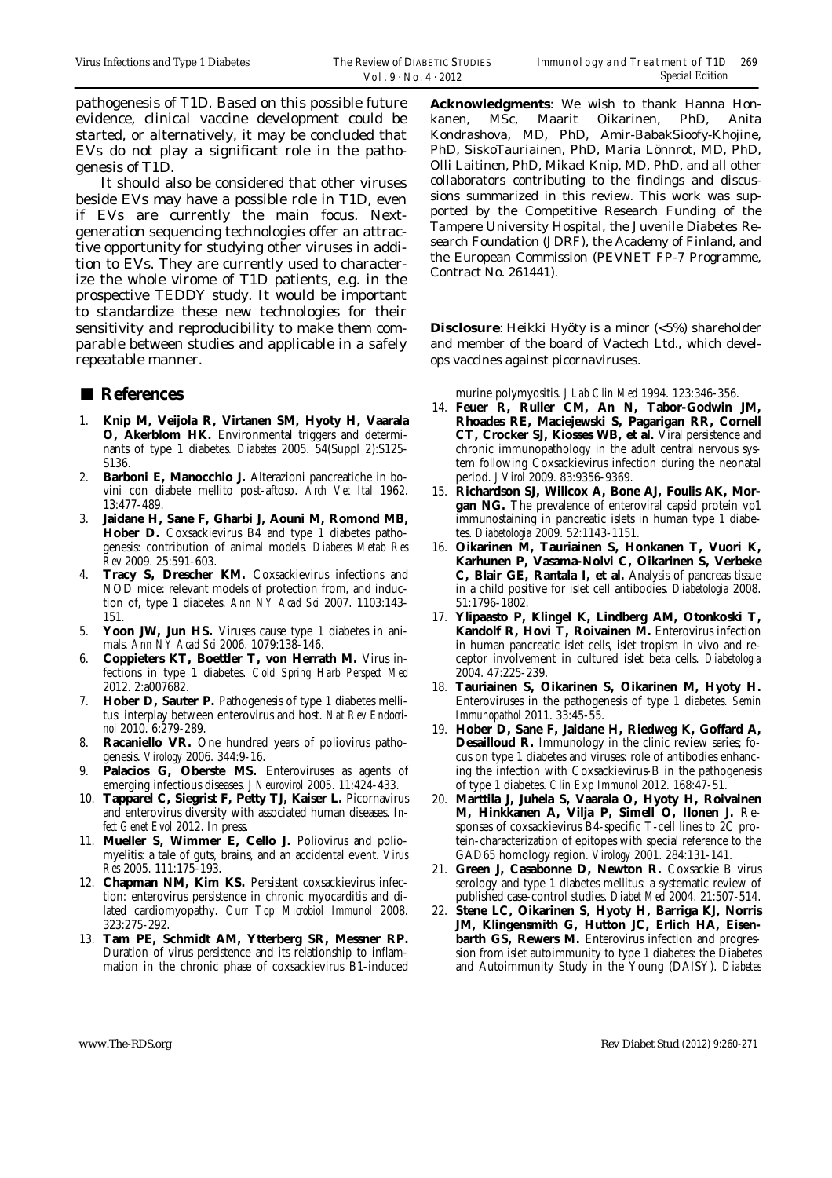pathogenesis of T1D. Based on this possible future evidence, clinical vaccine development could be started, or alternatively, it may be concluded that EVs do not play a significant role in the pathogenesis of T1D.

It should also be considered that other viruses beside EVs may have a possible role in T1D, even if EVs are currently the main focus. Nextgeneration sequencing technologies offer an attractive opportunity for studying other viruses in addition to EVs. They are currently used to characterize the whole virome of T1D patients, e.g. in the prospective TEDDY study. It would be important to standardize these new technologies for their sensitivity and reproducibility to make them comparable between studies and applicable in a safely repeatable manner.

### ■ **References**

- 1. **Knip M, Veijola R, Virtanen SM, Hyoty H, Vaarala O, Akerblom HK.** Environmental triggers and determinants of type 1 diabetes. *Diabetes* 2005. 54(Suppl 2):S125- S136.
- 2. **Barboni E, Manocchio J.** Alterazioni pancreatiche in bovini con diabete mellito post-aftoso. *Arch Vet Ital* 1962. 13:477-489.
- 3. **Jaidane H, Sane F, Gharbi J, Aouni M, Romond MB, Hober D.** Coxsackievirus B4 and type 1 diabetes pathogenesis: contribution of animal models. *Diabetes Metab Res Rev* 2009. 25:591-603.
- 4. **Tracy S, Drescher KM.** Coxsackievirus infections and NOD mice: relevant models of protection from, and induction of, type 1 diabetes. *Ann NY Acad Sci* 2007. 1103:143- 151.
- 5. **Yoon JW, Jun HS.** Viruses cause type 1 diabetes in animals. *Ann NY Acad Sci* 2006. 1079:138-146.
- 6. **Coppieters KT, Boettler T, von Herrath M.** Virus infections in type 1 diabetes. *Cold Spring Harb Perspect Med* 2012. 2:a007682.
- 7. **Hober D, Sauter P.** Pathogenesis of type 1 diabetes mellitus: interplay between enterovirus and host. *Nat Rev Endocrinol* 2010. 6:279-289.
- 8. **Racaniello VR.** One hundred years of poliovirus pathogenesis. *Virology* 2006. 344:9-16.
- 9. **Palacios G, Oberste MS.** Enteroviruses as agents of emerging infectious diseases. *J Neurovirol* 2005. 11:424-433.
- 10. **Tapparel C, Siegrist F, Petty TJ, Kaiser L.** Picornavirus and enterovirus diversity with associated human diseases. *Infect Genet Evol* 2012. In press.
- 11. **Mueller S, Wimmer E, Cello J.** Poliovirus and poliomyelitis: a tale of guts, brains, and an accidental event. *Virus Res* 2005. 111:175-193.
- 12. **Chapman NM, Kim KS.** Persistent coxsackievirus infection: enterovirus persistence in chronic myocarditis and dilated cardiomyopathy. *Curr Top Microbiol Immunol* 2008. 323:275-292.
- 13. **Tam PE, Schmidt AM, Ytterberg SR, Messner RP.**  Duration of virus persistence and its relationship to inflammation in the chronic phase of coxsackievirus B1-induced

**Acknowledgments**: We wish to thank Hanna Honkanen, MSc, Maarit Oikarinen, PhD, Anita Kondrashova, MD, PhD, Amir-BabakSioofy-Khojine, PhD, SiskoTauriainen, PhD, Maria Lönnrot, MD, PhD, Olli Laitinen, PhD, Mikael Knip, MD, PhD, and all other collaborators contributing to the findings and discussions summarized in this review. This work was supported by the Competitive Research Funding of the Tampere University Hospital, the Juvenile Diabetes Research Foundation (JDRF), the Academy of Finland, and the European Commission (PEVNET FP-7 Programme, Contract No. 261441).

**Disclosure**: Heikki Hyöty is a minor (<5%) shareholder and member of the board of Vactech Ltd., which develops vaccines against picornaviruses.

murine polymyositis. *J Lab Clin Med* 1994. 123:346-356.

- 14. **Feuer R, Ruller CM, An N, Tabor-Godwin JM, Rhoades RE, Maciejewski S, Pagarigan RR, Cornell CT, Crocker SJ, Kiosses WB, et al.** Viral persistence and chronic immunopathology in the adult central nervous system following Coxsackievirus infection during the neonatal period. *J Virol* 2009. 83:9356-9369.
- 15. **Richardson SJ, Willcox A, Bone AJ, Foulis AK, Morgan NG.** The prevalence of enteroviral capsid protein vp1 immunostaining in pancreatic islets in human type 1 diabetes. *Diabetologia* 2009. 52:1143-1151.
- 16. **Oikarinen M, Tauriainen S, Honkanen T, Vuori K, Karhunen P, Vasama-Nolvi C, Oikarinen S, Verbeke C, Blair GE, Rantala I, et al.** Analysis of pancreas tissue in a child positive for islet cell antibodies. *Diabetologia* 2008. 51:1796-1802.
- 17. **Ylipaasto P, Klingel K, Lindberg AM, Otonkoski T, Kandolf R, Hovi T, Roivainen M.** Enterovirus infection in human pancreatic islet cells, islet tropism in vivo and receptor involvement in cultured islet beta cells. *Diabetologia* 2004. 47:225-239.
- 18. **Tauriainen S, Oikarinen S, Oikarinen M, Hyoty H.**  Enteroviruses in the pathogenesis of type 1 diabetes. *Semin Immunopathol* 2011. 33:45-55.
- 19. **Hober D, Sane F, Jaidane H, Riedweg K, Goffard A, Desailloud R.** Immunology in the clinic review series; focus on type 1 diabetes and viruses: role of antibodies enhancing the infection with Coxsackievirus-B in the pathogenesis of type 1 diabetes. *Clin Exp Immunol* 2012. 168:47-51.
- 20. **Marttila J, Juhela S, Vaarala O, Hyoty H, Roivainen M, Hinkkanen A, Vilja P, Simell O, Ilonen J.** Responses of coxsackievirus B4-specific T-cell lines to 2C protein-characterization of epitopes with special reference to the GAD65 homology region. *Virology* 2001. 284:131-141.
- 21. **Green J, Casabonne D, Newton R.** Coxsackie B virus serology and type 1 diabetes mellitus: a systematic review of published case-control studies. *Diabet Med* 2004. 21:507-514.
- 22. **Stene LC, Oikarinen S, Hyoty H, Barriga KJ, Norris JM, Klingensmith G, Hutton JC, Erlich HA, Eisen**barth GS, Rewers M. Enterovirus infection and progression from islet autoimmunity to type 1 diabetes: the Diabetes and Autoimmunity Study in the Young (DAISY). *Diabetes*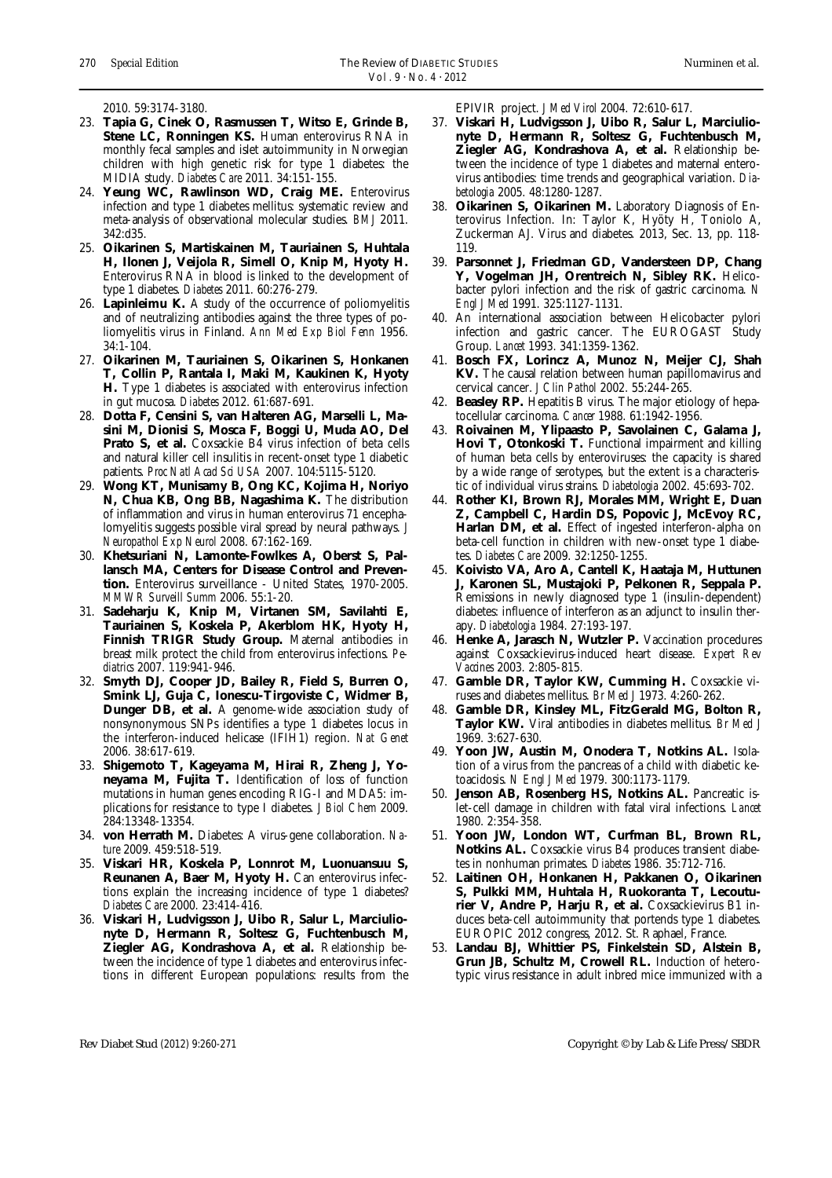2010. 59:3174-3180.

- 23. **Tapia G, Cinek O, Rasmussen T, Witso E, Grinde B,**  Stene LC, Ronningen KS. Human enterovirus RNA in monthly fecal samples and islet autoimmunity in Norwegian children with high genetic risk for type 1 diabetes: the MIDIA study. *Diabetes Care* 2011. 34:151-155.
- 24. **Yeung WC, Rawlinson WD, Craig ME.** Enterovirus infection and type 1 diabetes mellitus: systematic review and meta-analysis of observational molecular studies. *BMJ* 2011. 342:d35.
- 25. **Oikarinen S, Martiskainen M, Tauriainen S, Huhtala H, Ilonen J, Veijola R, Simell O, Knip M, Hyoty H.**  Enterovirus RNA in blood is linked to the development of type 1 diabetes. *Diabetes* 2011. 60:276-279.
- 26. **Lapinleimu K.** A study of the occurrence of poliomyelitis and of neutralizing antibodies against the three types of poliomyelitis virus in Finland. *Ann Med Exp Biol Fenn* 1956. 34:1-104.
- 27. **Oikarinen M, Tauriainen S, Oikarinen S, Honkanen T, Collin P, Rantala I, Maki M, Kaukinen K, Hyoty H.** Type 1 diabetes is associated with enterovirus infection in gut mucosa. *Diabetes* 2012. 61:687-691.
- 28. **Dotta F, Censini S, van Halteren AG, Marselli L, Masini M, Dionisi S, Mosca F, Boggi U, Muda AO, Del Prato S, et al.** Coxsackie B4 virus infection of beta cells and natural killer cell insulitis in recent-onset type 1 diabetic patients. *Proc Natl Acad Sci USA* 2007. 104:5115-5120.
- 29. **Wong KT, Munisamy B, Ong KC, Kojima H, Noriyo N, Chua KB, Ong BB, Nagashima K.** The distribution of inflammation and virus in human enterovirus 71 encephalomyelitis suggests possible viral spread by neural pathways. *J Neuropathol Exp Neurol* 2008. 67:162-169.
- 30. **Khetsuriani N, Lamonte-Fowlkes A, Oberst S, Pallansch MA, Centers for Disease Control and Prevention.** Enterovirus surveillance - United States, 1970-2005. *MMWR Surveill Summ* 2006. 55:1-20.
- 31. **Sadeharju K, Knip M, Virtanen SM, Savilahti E, Tauriainen S, Koskela P, Akerblom HK, Hyoty H, Finnish TRIGR Study Group.** Maternal antibodies in breast milk protect the child from enterovirus infections. *Pediatrics* 2007. 119:941-946.
- 32. **Smyth DJ, Cooper JD, Bailey R, Field S, Burren O, Smink LJ, Guja C, Ionescu-Tirgoviste C, Widmer B, Dunger DB, et al.** A genome-wide association study of nonsynonymous SNPs identifies a type 1 diabetes locus in the interferon-induced helicase (IFIH1) region. *Nat Genet* 2006. 38:617-619.
- 33. **Shigemoto T, Kageyama M, Hirai R, Zheng J, Yoneyama M, Fujita T.** Identification of loss of function mutations in human genes encoding RIG-I and MDA5: implications for resistance to type I diabetes. *J Biol Chem* 2009. 284:13348-13354.
- 34. **von Herrath M.** Diabetes: A virus-gene collaboration. *Nature* 2009. 459:518-519.
- 35. **Viskari HR, Koskela P, Lonnrot M, Luonuansuu S, Reunanen A, Baer M, Hyoty H.** Can enterovirus infections explain the increasing incidence of type 1 diabetes? *Diabetes Care* 2000. 23:414-416.
- 36. **Viskari H, Ludvigsson J, Uibo R, Salur L, Marciulionyte D, Hermann R, Soltesz G, Fuchtenbusch M, Ziegler AG, Kondrashova A, et al.** Relationship between the incidence of type 1 diabetes and enterovirus infections in different European populations: results from the

EPIVIR project. *J Med Virol* 2004. 72:610-617.

- 37. **Viskari H, Ludvigsson J, Uibo R, Salur L, Marciulionyte D, Hermann R, Soltesz G, Fuchtenbusch M, Ziegler AG, Kondrashova A, et al.** Relationship between the incidence of type 1 diabetes and maternal enterovirus antibodies: time trends and geographical variation. *Diabetologia* 2005. 48:1280-1287.
- 38. **Oikarinen S, Oikarinen M.** Laboratory Diagnosis of Enterovirus Infection. In: Taylor K, Hyöty H, Toniolo A, Zuckerman AJ. Virus and diabetes. 2013, Sec. 13, pp. 118- 119.
- 39. **Parsonnet J, Friedman GD, Vandersteen DP, Chang Y, Vogelman JH, Orentreich N, Sibley RK.** Helicobacter pylori infection and the risk of gastric carcinoma. *N Engl J Med* 1991. 325:1127-1131.
- 40. An international association between Helicobacter pylori infection and gastric cancer. The EUROGAST Study Group. *Lancet* 1993. 341:1359-1362.
- 41. **Bosch FX, Lorincz A, Munoz N, Meijer CJ, Shah KV.** The causal relation between human papillomavirus and cervical cancer. *J Clin Pathol* 2002. 55:244-265.
- 42. **Beasley RP.** Hepatitis B virus. The major etiology of hepatocellular carcinoma. *Cancer* 1988. 61:1942-1956.
- 43. **Roivainen M, Ylipaasto P, Savolainen C, Galama J, Hovi T. Otonkoski T.** Functional impairment and killing of human beta cells by enteroviruses: the capacity is shared by a wide range of serotypes, but the extent is a characteristic of individual virus strains. *Diabetologia* 2002. 45:693-702.
- 44. **Rother KI, Brown RJ, Morales MM, Wright E, Duan Z, Campbell C, Hardin DS, Popovic J, McEvoy RC, Harlan DM, et al.** Effect of ingested interferon-alpha on beta-cell function in children with new-onset type 1 diabetes. *Diabetes Care* 2009. 32:1250-1255.
- 45. **Koivisto VA, Aro A, Cantell K, Haataja M, Huttunen J, Karonen SL, Mustajoki P, Pelkonen R, Seppala P.**  Remissions in newly diagnosed type 1 (insulin-dependent) diabetes: influence of interferon as an adjunct to insulin therapy. *Diabetologia* 1984. 27:193-197.
- 46. **Henke A, Jarasch N, Wutzler P.** Vaccination procedures against Coxsackievirus-induced heart disease. *Expert Rev Vaccines* 2003. 2:805-815.
- 47. **Gamble DR, Taylor KW, Cumming H.** Coxsackie viruses and diabetes mellitus. *Br Med J* 1973. 4:260-262.
- 48. **Gamble DR, Kinsley ML, FitzGerald MG, Bolton R, Taylor KW.** Viral antibodies in diabetes mellitus. *Br Med J* 1969. 3:627-630.
- 49. **Yoon JW, Austin M, Onodera T, Notkins AL.** Isolation of a virus from the pancreas of a child with diabetic ketoacidosis. *N Engl J Med* 1979. 300:1173-1179.
- 50. **Jenson AB, Rosenberg HS, Notkins AL.** Pancreatic islet-cell damage in children with fatal viral infections. *Lancet* 1980. 2:354-358.
- 51. **Yoon JW, London WT, Curfman BL, Brown RL, Notkins AL.** Coxsackie virus B4 produces transient diabetes in nonhuman primates. *Diabetes* 1986. 35:712-716.
- 52. **Laitinen OH, Honkanen H, Pakkanen O, Oikarinen S, Pulkki MM, Huhtala H, Ruokoranta T, Lecouturier V, Andre P, Harju R, et al.** Coxsackievirus B1 induces beta-cell autoimmunity that portends type 1 diabetes. EUROPIC 2012 congress, 2012. St. Raphael, France.
- 53. **Landau BJ, Whittier PS, Finkelstein SD, Alstein B, Grun JB, Schultz M, Crowell RL.** Induction of heterotypic virus resistance in adult inbred mice immunized with a